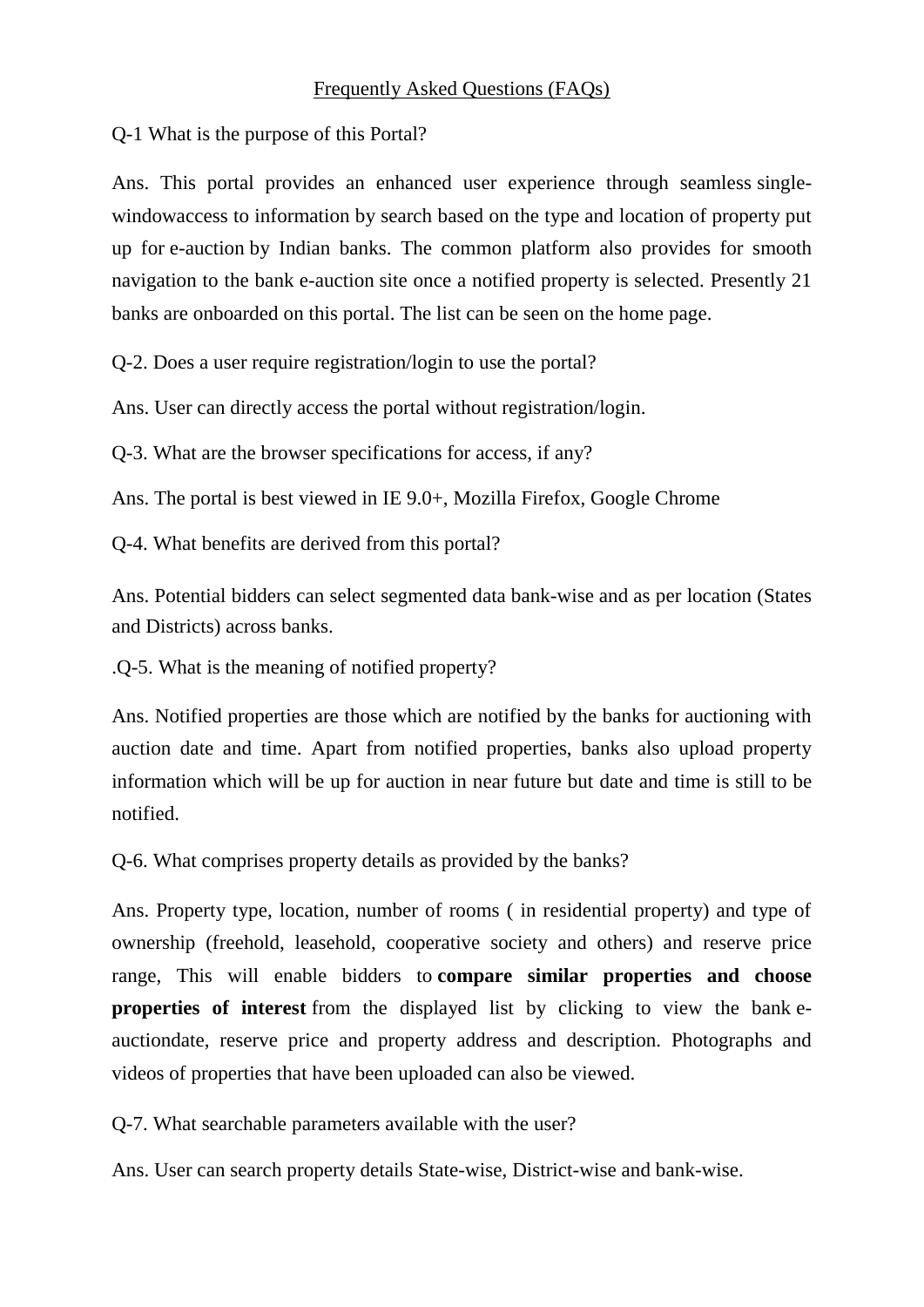Q-1 What is the purpose of this Portal?

Ans. This portal provides an enhanced user experience through seamless singlewindowaccess to information by search based on the type and location of property put up for e-auction by Indian banks. The common platform also provides for smooth navigation to the bank e-auction site once a notified property is selected. Presently 21 banks are onboarded on this portal. The list can be seen on the home page.

Q-2. Does a user require registration/login to use the portal?

Ans. User can directly access the portal without registration/login.

Q-3. What are the browser specifications for access, if any?

Ans. The portal is best viewed in IE 9.0+, Mozilla Firefox, Google Chrome

Q-4. What benefits are derived from this portal?

Ans. Potential bidders can select segmented data bank-wise and as per location (States and Districts) across banks.

.Q-5. What is the meaning of notified property?

Ans. Notified properties are those which are notified by the banks for auctioning with auction date and time. Apart from notified properties, banks also upload property information which will be up for auction in near future but date and time is still to be notified.

Q-6. What comprises property details as provided by the banks?

Ans. Property type, location, number of rooms ( in residential property) and type of ownership (freehold, leasehold, cooperative society and others) and reserve price range, This will enable bidders to **compare similar properties and choose properties of interest** from the displayed list by clicking to view the bank eauctiondate, reserve price and property address and description. Photographs and videos of properties that have been uploaded can also be viewed.

Q-7. What searchable parameters available with the user?

Ans. User can search property details State-wise, District-wise and bank-wise.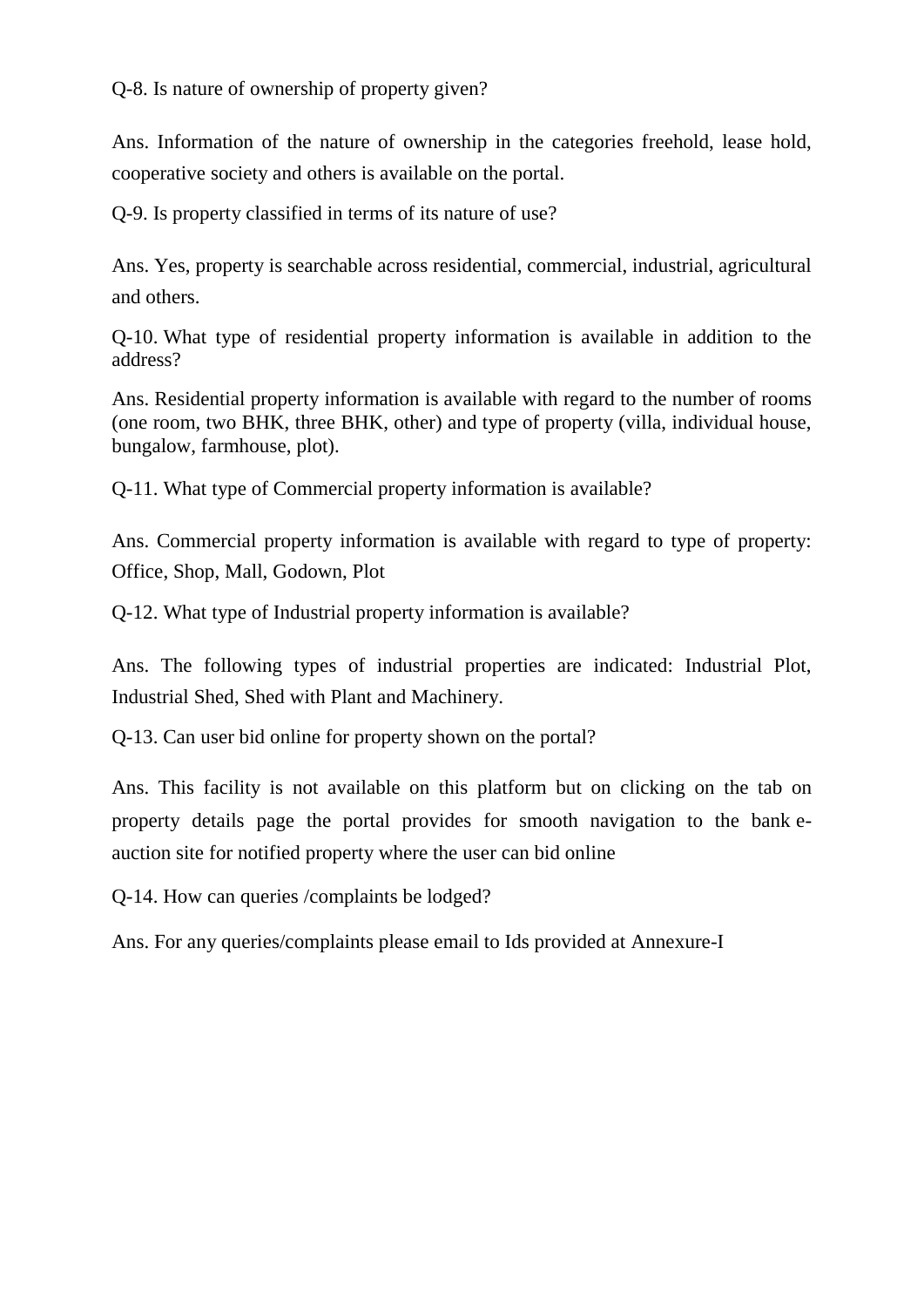Q-8. Is nature of ownership of property given?

Ans. Information of the nature of ownership in the categories freehold, lease hold, cooperative society and others is available on the portal.

Q-9. Is property classified in terms of its nature of use?

Ans. Yes, property is searchable across residential, commercial, industrial, agricultural and others.

Q-10. What type of residential property information is available in addition to the address?

Ans. Residential property information is available with regard to the number of rooms (one room, two BHK, three BHK, other) and type of property (villa, individual house, bungalow, farmhouse, plot).

Q-11. What type of Commercial property information is available?

Ans. Commercial property information is available with regard to type of property: Office, Shop, Mall, Godown, Plot

Q-12. What type of Industrial property information is available?

Ans. The following types of industrial properties are indicated: Industrial Plot, Industrial Shed, Shed with Plant and Machinery.

Q-13. Can user bid online for property shown on the portal?

Ans. This facility is not available on this platform but on clicking on the tab on property details page the portal provides for smooth navigation to the bank eauction site for notified property where the user can bid online

Q-14. How can queries /complaints be lodged?

Ans. For any queries/complaints please email to Ids provided at Annexure-I